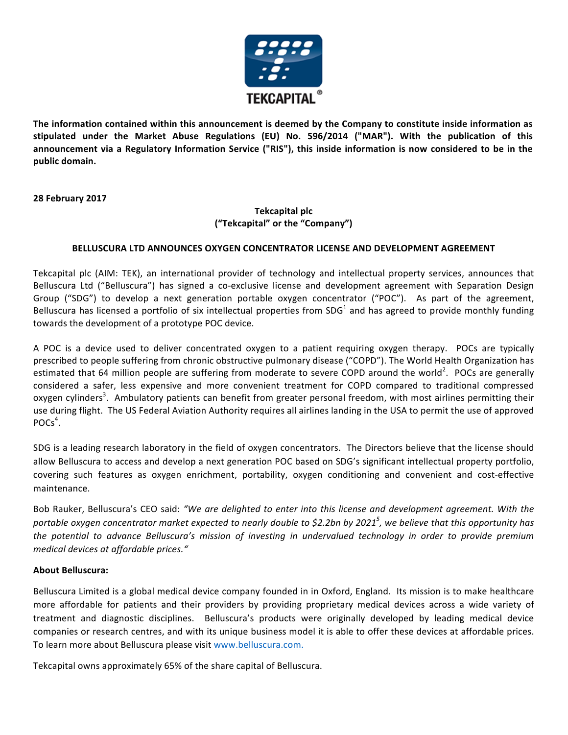

The information contained within this announcement is deemed by the Company to constitute inside information as stipulated under the Market Abuse Regulations (EU) No. 596/2014 ("MAR"). With the publication of this announcement via a Regulatory Information Service ("RIS"), this inside information is now considered to be in the **public domain.**

**28 February 2017**

## **Tekcapital plc ("Tekcapital" or the "Company")**

## BELLUSCURA LTD ANNOUNCES OXYGEN CONCENTRATOR LICENSE AND DEVELOPMENT AGREEMENT

Tekcapital plc (AIM: TEK), an international provider of technology and intellectual property services, announces that Belluscura Ltd ("Belluscura") has signed a co-exclusive license and development agreement with Separation Design Group ("SDG") to develop a next generation portable oxygen concentrator ("POC"). As part of the agreement, Belluscura has licensed a portfolio of six intellectual properties from SDG<sup>1</sup> and has agreed to provide monthly funding towards the development of a prototype POC device.

A POC is a device used to deliver concentrated oxygen to a patient requiring oxygen therapy. POCs are typically prescribed to people suffering from chronic obstructive pulmonary disease ("COPD"). The World Health Organization has estimated that 64 million people are suffering from moderate to severe COPD around the world<sup>2</sup>. POCs are generally considered a safer, less expensive and more convenient treatment for COPD compared to traditional compressed oxygen cylinders<sup>3</sup>. Ambulatory patients can benefit from greater personal freedom, with most airlines permitting their use during flight. The US Federal Aviation Authority requires all airlines landing in the USA to permit the use of approved POCs<sup>4</sup>.

SDG is a leading research laboratory in the field of oxygen concentrators. The Directors believe that the license should allow Belluscura to access and develop a next generation POC based on SDG's significant intellectual property portfolio, covering such features as oxygen enrichment, portability, oxygen conditioning and convenient and cost-effective maintenance. 

Bob Rauker, Belluscura's CEO said: "We are delighted to enter into this license and development agreement. With the portable oxygen concentrator market expected to nearly double to \$2.2bn by 2021<sup>5</sup>, we believe that this opportunity has *the potential to advance Belluscura's mission of investing in undervalued technology in order to provide premium medical devices at affordable prices."*

## **About Belluscura:**

Belluscura Limited is a global medical device company founded in in Oxford, England. Its mission is to make healthcare more affordable for patients and their providers by providing proprietary medical devices across a wide variety of treatment and diagnostic disciplines. Belluscura's products were originally developed by leading medical device companies or research centres, and with its unique business model it is able to offer these devices at affordable prices. To learn more about Belluscura please visit www.belluscura.com.

Tekcapital owns approximately 65% of the share capital of Belluscura.